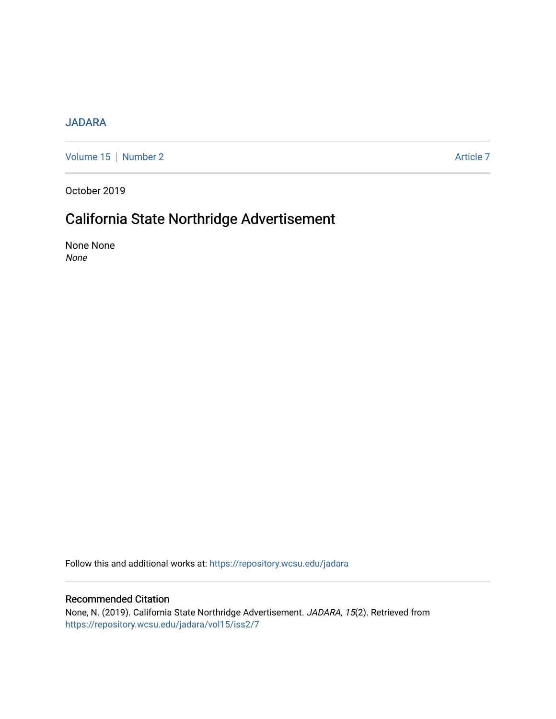### [JADARA](https://repository.wcsu.edu/jadara)

[Volume 15](https://repository.wcsu.edu/jadara/vol15) | [Number 2](https://repository.wcsu.edu/jadara/vol15/iss2) Article 7

October 2019

## California State Northridge Advertisement

None None None

Follow this and additional works at: [https://repository.wcsu.edu/jadara](https://repository.wcsu.edu/jadara?utm_source=repository.wcsu.edu%2Fjadara%2Fvol15%2Fiss2%2F7&utm_medium=PDF&utm_campaign=PDFCoverPages)

#### Recommended Citation

None, N. (2019). California State Northridge Advertisement. JADARA, 15(2). Retrieved from [https://repository.wcsu.edu/jadara/vol15/iss2/7](https://repository.wcsu.edu/jadara/vol15/iss2/7?utm_source=repository.wcsu.edu%2Fjadara%2Fvol15%2Fiss2%2F7&utm_medium=PDF&utm_campaign=PDFCoverPages)